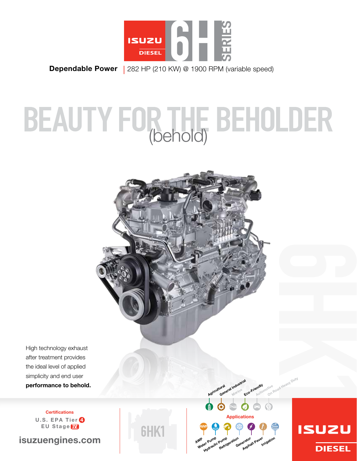

Dependable Power | 282 HP (210 KW) @ 1900 RPM (variable speed)

# BEAUTY FOR THE BEHOLDER